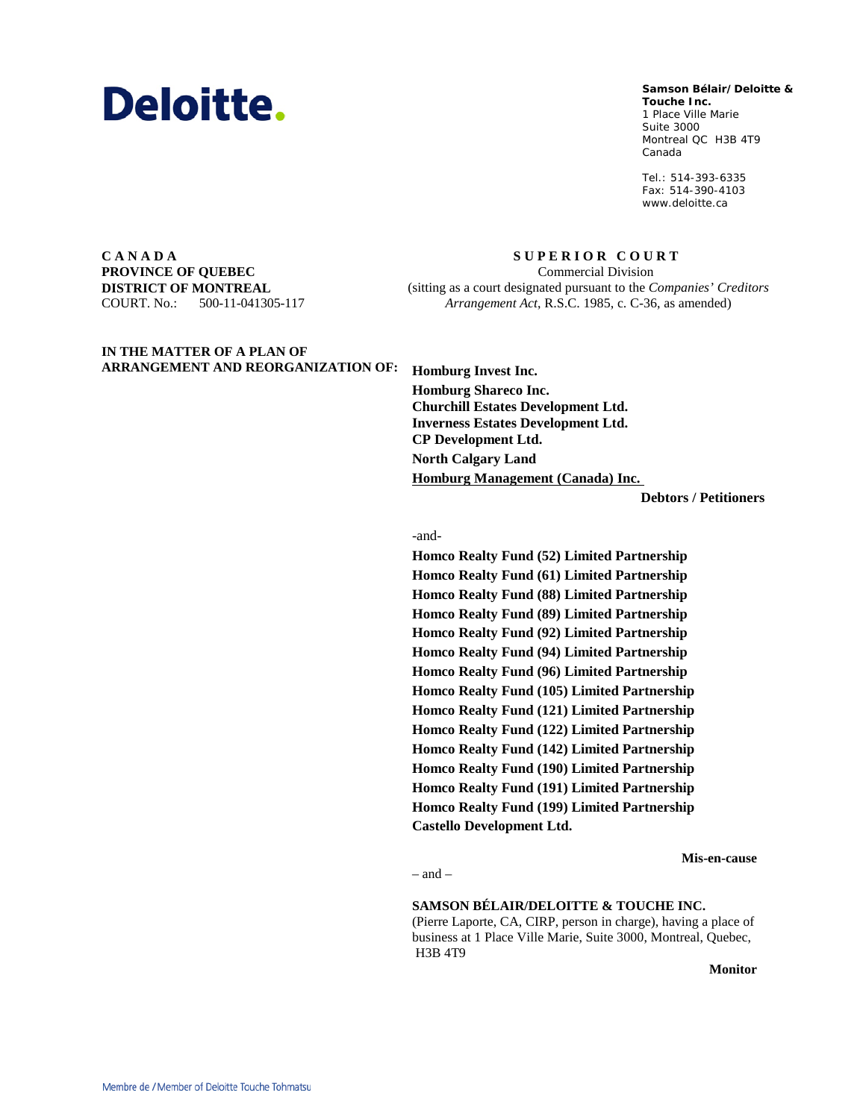

#### **Samson Bélair/Deloitte & Samson Bélair/Deloitte &**

**Touche Inc. Touche Inc.** 1, Place Ville Marie 1 Place Ville Marie Suite 3000 Montréal QC H3B 4T9 Montreal QC H3B 4T9 Canada Canada

Tél. : 514-393-6335 Tel.: 514-393-6335 Téléc. : 514-390-4103 Fax: 514-390-4103 www.deloitte.ca www.deloitte.ca

**C A N A D A PROVINCE OF QUEBEC DISTRICT OF MONTREAL** COURT. No.: 500-11-041305-117

**S U P E R I O R C O U R T** Commercial Division (sitting as a court designated pursuant to the *Companies' Creditors Arrangement Act*, R.S.C. 1985, c. C-36, as amended)

**IN THE MATTER OF A PLAN OF** 

**ARRANGEMENT AND REORGANIZATION OF: Homburg Invest Inc. Homburg Shareco Inc. Churchill Estates Development Ltd. Inverness Estates Development Ltd. CP Development Ltd. North Calgary Land Homburg Management (Canada) Inc.** 

**Debtors / Petitioners**

#### -and-

**Homco Realty Fund (52) Limited Partnership Homco Realty Fund (61) Limited Partnership Homco Realty Fund (88) Limited Partnership Homco Realty Fund (89) Limited Partnership Homco Realty Fund (92) Limited Partnership Homco Realty Fund (94) Limited Partnership Homco Realty Fund (96) Limited Partnership Homco Realty Fund (105) Limited Partnership Homco Realty Fund (121) Limited Partnership Homco Realty Fund (122) Limited Partnership Homco Realty Fund (142) Limited Partnership Homco Realty Fund (190) Limited Partnership Homco Realty Fund (191) Limited Partnership Homco Realty Fund (199) Limited Partnership Castello Development Ltd.**

**Mis-en-cause**

 $=$  and  $=$ 

### **SAMSON BÉLAIR/DELOITTE & TOUCHE INC.**

(Pierre Laporte, CA, CIRP, person in charge), having a place of business at 1 Place Ville Marie, Suite 3000, Montreal, Quebec, H3B 4T9

**Monitor**